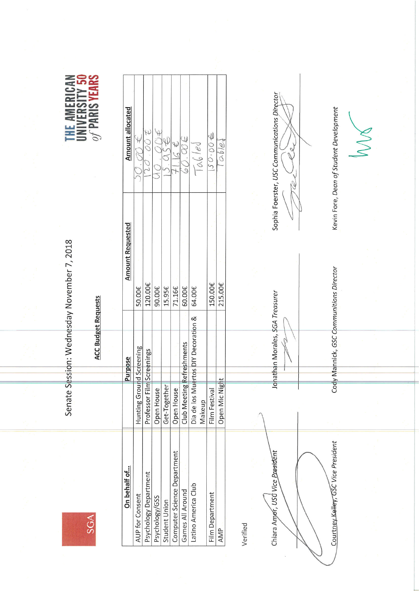**SGA** 

Senate Session: Wednesday November 7, 2018

**ACC Budget Requests** 



| On behalf of                | <b>Purpose</b>                                | <b>Amount Requested</b> | Amount allocated      |
|-----------------------------|-----------------------------------------------|-------------------------|-----------------------|
| AUP for Consent             | Screening<br>Hunting Ground                   | 50.00€                  |                       |
| Psychology Department       | Professor Film Screenings                     | 120.00€                 | 300. OC               |
| Psychology/GSS              | Open House                                    | 90.00€                  |                       |
| Student Union               | Get-Together                                  | 15.95€                  | $\frac{4}{5}$         |
| Computer Science Department | Open House                                    | 71.16€                  |                       |
| Games All Around            | freshments<br>Club Meeting Re                 | 60.00€                  | SO(4)                 |
| Latino America Club         | Dia de los Muertos DIY Decoration &<br>Makeup | 64.00€                  | $\sqrt{\alpha_0}/e_0$ |
| Film Department             | Film Festival                                 | 150.00€                 | 50.00                 |
| AMP                         | Open Mic Night                                | 215.00€                 | O(b/e)                |

Verified

Chiara Amor, USC Vice President

Courtney Kelley, GSC Vice President

Jonathan Morales, \$GA Treasurer

Cody Mannick, GSC Communitions Director

Sophia Foerster, USC Communications Director

Rel

Y

Kevin Fore, Dean of Student Development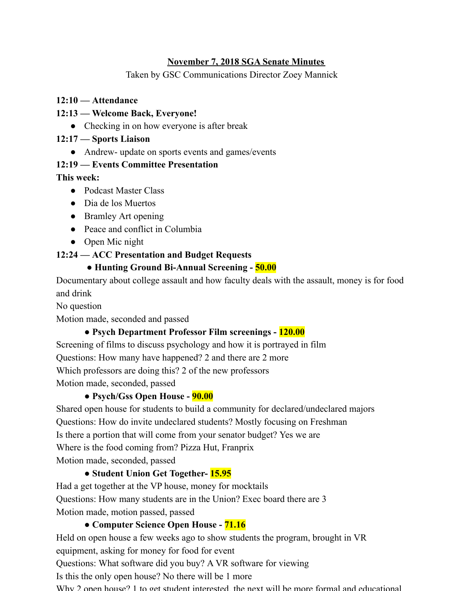### **November 7, 2018 SGA Senate Minutes**

Taken by GSC Communications Director Zoey Mannick

### **12:10 — Attendance**

### **12:13 — Welcome Back, Everyone!**

• Checking in on how everyone is after break

### **12:17 — Sports Liaison**

• Andrew- update on sports events and games/events

### **12:19 — Events Committee Presentation**

### **This week:**

- Podcast Master Class
- Dia de los Muertos
- Bramley Art opening
- Peace and conflict in Columbia
- Open Mic night

## **12:24 — ACC Presentation and Budget Requests**

## **● Hunting Ground Bi-Annual Screening - 50.00**

Documentary about college assault and how faculty deals with the assault, money is for food and drink

No question

Motion made, seconded and passed

## **● Psych Department Professor Film screenings - 120.00**

Screening of films to discuss psychology and how it is portrayed in film Questions: How many have happened? 2 and there are 2 more Which professors are doing this? 2 of the new professors Motion made, seconded, passed

## **● Psych/Gss Open House - 90.00**

Shared open house for students to build a community for declared/undeclared majors Questions: How do invite undeclared students? Mostly focusing on Freshman

Is there a portion that will come from your senator budget? Yes we are

Where is the food coming from? Pizza Hut, Franprix

Motion made, seconded, passed

# **● Student Union Get Together- 15.95**

Had a get together at the VP house, money for mocktails

Questions: How many students are in the Union? Exec board there are 3

Motion made, motion passed, passed

# **● Computer Science Open House - 71.16**

Held on open house a few weeks ago to show students the program, brought in VR equipment, asking for money for food for event Questions: What software did you buy? A VR software for viewing

Is this the only open house? No there will be 1 more

Why 2 open house? 1 to get student interested, the next will be more formal and educational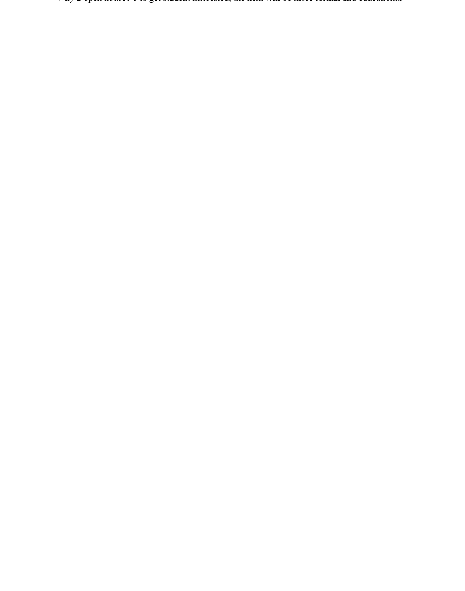Why 2 open house? 1 to get student interested, the next will be more formal and educational